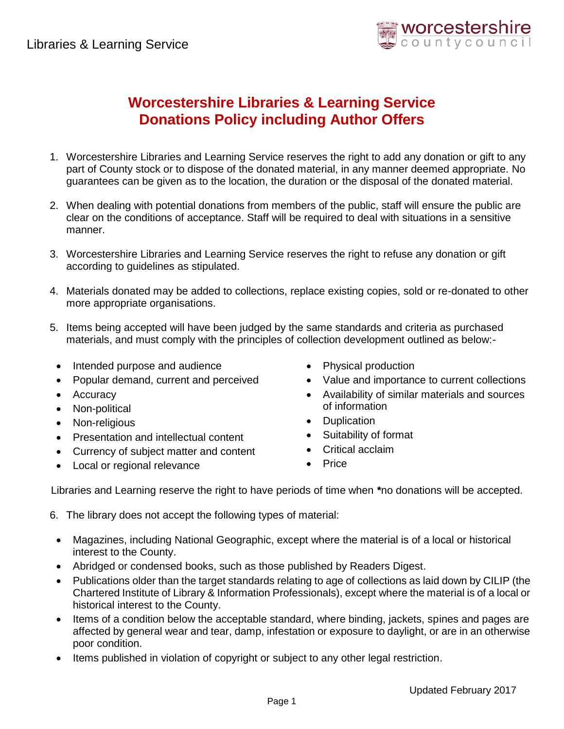

## **Worcestershire Libraries & Learning Service Donations Policy including Author Offers**

- 1. Worcestershire Libraries and Learning Service reserves the right to add any donation or gift to any part of County stock or to dispose of the donated material, in any manner deemed appropriate. No guarantees can be given as to the location, the duration or the disposal of the donated material.
- 2. When dealing with potential donations from members of the public, staff will ensure the public are clear on the conditions of acceptance. Staff will be required to deal with situations in a sensitive manner.
- 3. Worcestershire Libraries and Learning Service reserves the right to refuse any donation or gift according to guidelines as stipulated.
- 4. Materials donated may be added to collections, replace existing copies, sold or re-donated to other more appropriate organisations.
- 5. Items being accepted will have been judged by the same standards and criteria as purchased materials, and must comply with the principles of collection development outlined as below:-
	- Intended purpose and audience
	- Popular demand, current and perceived
	- Accuracy
	- Non-political
	- Non-religious
	- Presentation and intellectual content
	- Currency of subject matter and content
	- Local or regional relevance
- Physical production
- Value and importance to current collections
- Availability of similar materials and sources of information
- Duplication
- Suitability of format
- Critical acclaim
- Price

Libraries and Learning reserve the right to have periods of time when **\***no donations will be accepted.

- 6. The library does not accept the following types of material:
	- Magazines, including National Geographic, except where the material is of a local or historical interest to the County.
	- Abridged or condensed books, such as those published by Readers Digest.
	- Publications older than the target standards relating to age of collections as laid down by CILIP (the Chartered Institute of Library & Information Professionals), except where the material is of a local or historical interest to the County.
	- Items of a condition below the acceptable standard, where binding, jackets, spines and pages are affected by general wear and tear, damp, infestation or exposure to daylight, or are in an otherwise poor condition.
	- Items published in violation of copyright or subject to any other legal restriction.